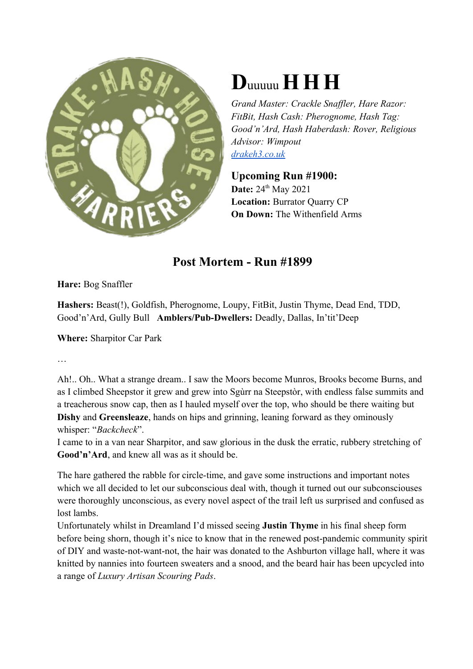

## $D$ uuuuu HHH

*Grand Master: Crackle Snaffler, Hare Razor: FitBit, Hash Cash: Pherognome, Hash Tag: Good'n'Ard, Hash Haberdash: Rover, Religious Advisor: Wimpout drakeh3.co.uk*

## **Upcoming Run #1900: Date:** 24<sup>th</sup> May 2021 **Location:** Burrator Quarry CP **On Down:** The Withenfield Arms

## **Post Mortem - Run #1899**

**Hare:** Bog Snaffler

**Hashers:** Beast(!), Goldfish, Pherognome, Loupy, FitBit, Justin Thyme, Dead End, TDD, Good'n'Ard, Gully Bull **Amblers/Pub-Dwellers:** Deadly, Dallas, In'tit'Deep

**Where:** Sharpitor Car Park

…

Ah!.. Oh.. What a strange dream.. I saw the Moors become Munros, Brooks become Burns, and as I climbed Sheepstor it grew and grew into Sgùrr na Steepstòr, with endless false summits and a treacherous snow cap, then as I hauled myself over the top, who should be there waiting but **Dishy** and **Greensleaze**, hands on hips and grinning, leaning forward as they ominously whisper: "*Backcheck*".

I came to in a van near Sharpitor, and saw glorious in the dusk the erratic, rubbery stretching of **Good'n'Ard**, and knew all was as it should be.

The hare gathered the rabble for circle-time, and gave some instructions and important notes which we all decided to let our subconscious deal with, though it turned out our subconsciouses were thoroughly unconscious, as every novel aspect of the trail left us surprised and confused as lost lambs.

Unfortunately whilst in Dreamland I'd missed seeing **Justin Thyme** in his final sheep form before being shorn, though it's nice to know that in the renewed post-pandemic community spirit of DIY and waste-not-want-not, the hair was donated to the Ashburton village hall, where it was knitted by nannies into fourteen sweaters and a snood, and the beard hair has been upcycled into a range of *Luxury Artisan Scouring Pads*.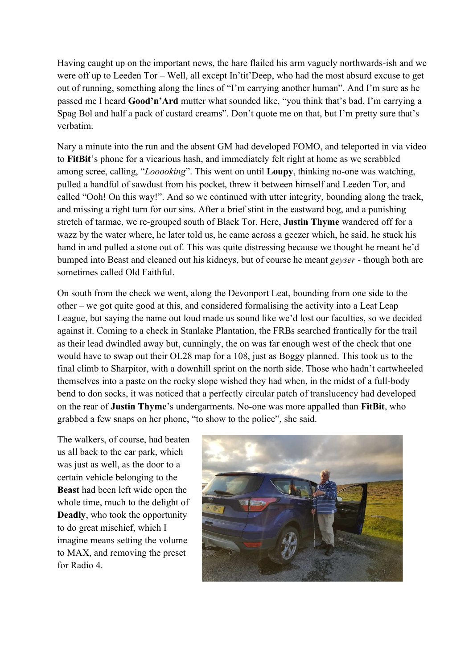Having caught up on the important news, the hare flailed his arm vaguely northwards-ish and we were off up to Leeden Tor – Well, all except In'tit'Deep, who had the most absurd excuse to get out of running, something along the lines of "I'm carrying another human". And I'm sure as he passed me I heard **Good'n'Ard** mutter what sounded like, "you think that's bad, I'm carrying a Spag Bol and half a pack of custard creams". Don't quote me on that, but I'm pretty sure that's verbatim.

Nary a minute into the run and the absent GM had developed FOMO, and teleported in via video to **FitBit**'s phone for a vicarious hash, and immediately felt right at home as we scrabbled among scree, calling, "*Looooking*". This went on until **Loupy**, thinking no-one was watching, pulled a handful of sawdust from his pocket, threw it between himself and Leeden Tor, and called "Ooh! On this way!". And so we continued with utter integrity, bounding along the track, and missing a right turn for our sins. After a brief stint in the eastward bog, and a punishing stretch of tarmac, we re-grouped south of Black Tor. Here, **Justin Thyme** wandered off for a wazz by the water where, he later told us, he came across a geezer which, he said, he stuck his hand in and pulled a stone out of. This was quite distressing because we thought he meant he'd bumped into Beast and cleaned out his kidneys, but of course he meant *geyser -* though both are sometimes called Old Faithful.

On south from the check we went, along the Devonport Leat, bounding from one side to the other – we got quite good at this, and considered formalising the activity into a Leat Leap League, but saying the name out loud made us sound like we'd lost our faculties, so we decided against it. Coming to a check in Stanlake Plantation, the FRBs searched frantically for the trail as their lead dwindled away but, cunningly, the on was far enough west of the check that one would have to swap out their OL28 map for a 108, just as Boggy planned. This took us to the final climb to Sharpitor, with a downhill sprint on the north side. Those who hadn't cartwheeled themselves into a paste on the rocky slope wished they had when, in the midst of a full-body bend to don socks, it was noticed that a perfectly circular patch of translucency had developed on the rear of **Justin Thyme**'s undergarments. No-one was more appalled than **FitBit**, who grabbed a few snaps on her phone, "to show to the police", she said.

The walkers, of course, had beaten us all back to the car park, which was just as well, as the door to a certain vehicle belonging to the **Beast** had been left wide open the whole time, much to the delight of **Deadly**, who took the opportunity to do great mischief, which I imagine means setting the volume to MAX, and removing the preset for Radio 4.